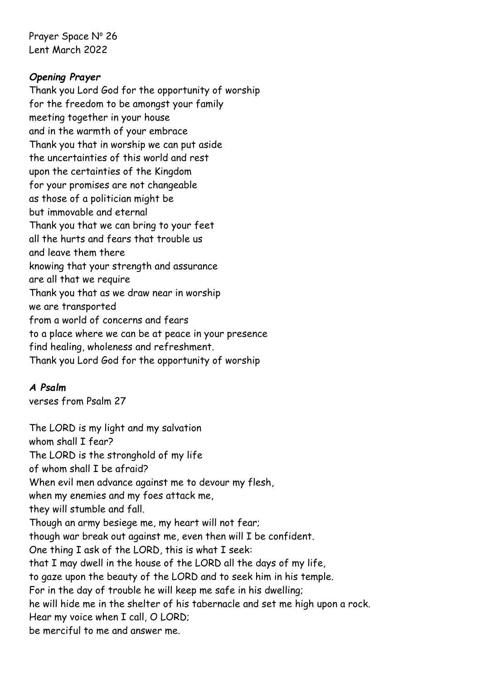Prayer Space Nº 26 Lent March 2022

## *Opening Prayer*

Thank you Lord God for the opportunity of worship for the freedom to be amongst your family meeting together in your house and in the warmth of your embrace Thank you that in worship we can put aside the uncertainties of this world and rest upon the certainties of the Kingdom for your promises are not changeable as those of a politician might be but immovable and eternal Thank you that we can bring to your feet all the hurts and fears that trouble us and leave them there knowing that your strength and assurance are all that we require Thank you that as we draw near in worship we are transported from a world of concerns and fears to a place where we can be at peace in your presence find healing, wholeness and refreshment. Thank you Lord God for the opportunity of worship

## *A Psalm*

verses from Psalm 27

The LORD is my light and my salvation whom shall I fear? The LORD is the stronghold of my life of whom shall I be afraid? When evil men advance against me to devour my flesh, when my enemies and my foes attack me, they will stumble and fall. Though an army besiege me, my heart will not fear; though war break out against me, even then will I be confident. One thing I ask of the LORD, this is what I seek: that I may dwell in the house of the LORD all the days of my life, to gaze upon the beauty of the LORD and to seek him in his temple. For in the day of trouble he will keep me safe in his dwelling; he will hide me in the shelter of his tabernacle and set me high upon a rock. Hear my voice when I call, O LORD; be merciful to me and answer me.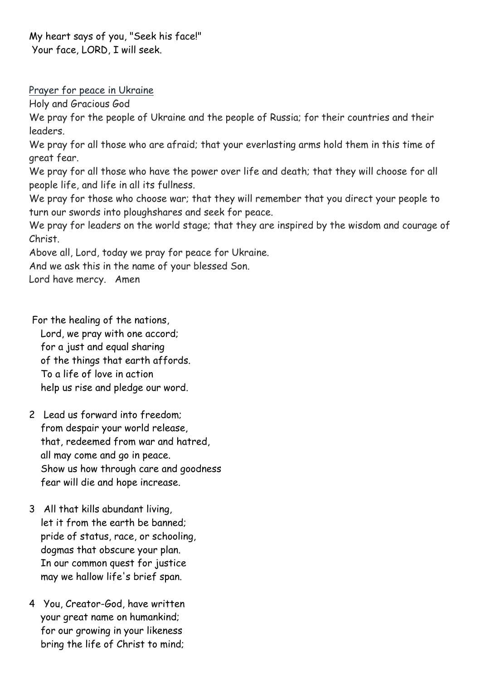My heart says of you, "Seek his face!" Your face, LORD, I will seek.

Prayer for peace in Ukraine

Holy and Gracious God

We pray for the people of Ukraine and the people of Russia; for their countries and their leaders.

We pray for all those who are afraid; that your everlasting arms hold them in this time of great fear.

We pray for all those who have the power over life and death; that they will choose for all people life, and life in all its fullness.

We pray for those who choose war; that they will remember that you direct your people to turn our swords into ploughshares and seek for peace.

We pray for leaders on the world stage; that they are inspired by the wisdom and courage of Christ.

Above all, Lord, today we pray for peace for Ukraine.

And we ask this in the name of your blessed Son.

Lord have mercy. Amen

For the healing of the nations, Lord, we pray with one accord; for a just and equal sharing of the things that earth affords. To a life of love in action help us rise and pledge our word.

- 2 Lead us forward into freedom; from despair your world release, that, redeemed from war and hatred, all may come and go in peace. Show us how through care and goodness fear will die and hope increase.
- 3 All that kills abundant living, let it from the earth be banned; pride of status, race, or schooling, dogmas that obscure your plan. In our common quest for justice may we hallow life's brief span.
- 4 You, Creator-God, have written your great name on humankind; for our growing in your likeness bring the life of Christ to mind;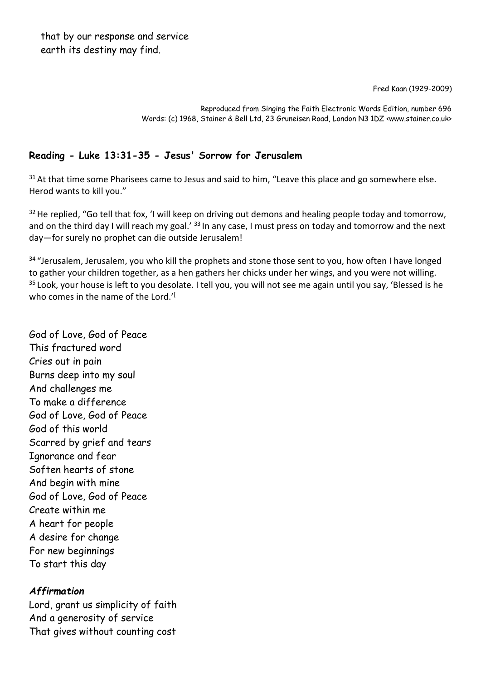Fred Kaan (1929-2009)

Reproduced from Singing the Faith Electronic Words Edition, number 696 Words: (c) 1968, Stainer & Bell Ltd, 23 Gruneisen Road, London N3 1DZ <www.stainer.co.uk>

## **Reading - Luke 13:31-35 - Jesus' Sorrow for Jerusalem**

 $31$  At that time some Pharisees came to Jesus and said to him, "Leave this place and go somewhere else. Herod wants to kill you."

<sup>32</sup> He replied, "Go tell that fox, 'I will keep on driving out demons and healing people today and tomorrow, and on the third day I will reach my goal.' <sup>33</sup> In any case, I must press on today and tomorrow and the next day—for surely no prophet can die outside Jerusalem!

<sup>34</sup> "Jerusalem, Jerusalem, you who kill the prophets and stone those sent to you, how often I have longed to gather your children together, as a hen gathers her chicks under her wings, and you were not willing. <sup>35</sup> Look, your house is left to you desolate. I tell you, you will not see me again until you say, 'Blessed is he who comes in the name of the Lord.'<sup>[1]</sup>

God of Love, God of Peace This fractured word Cries out in pain Burns deep into my soul And challenges me To make a difference God of Love, God of Peace God of this world Scarred by grief and tears Ignorance and fear Soften hearts of stone And begin with mine God of Love, God of Peace Create within me A heart for people A desire for change For new beginnings To start this day

## *Affirmation*

Lord, grant us simplicity of faith And a generosity of service That gives without counting cost